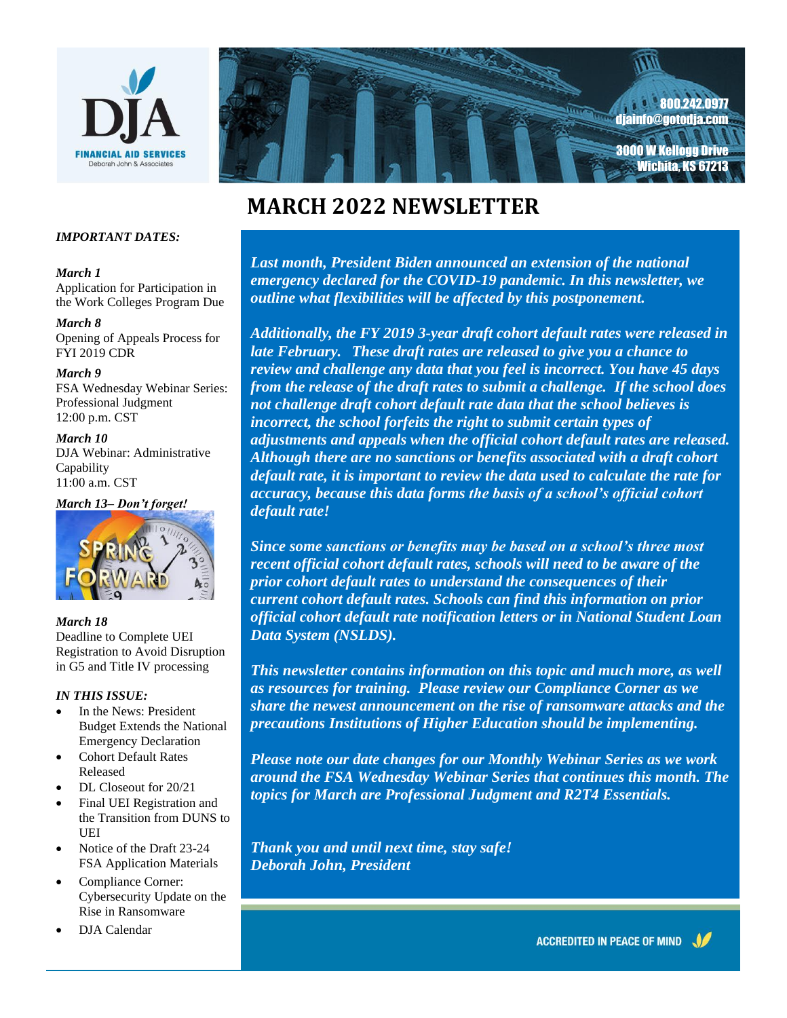



# **MARCH 2022 NEWSLETTER**

#### *IMPORTANT DATES:*

#### *March 1*

Application for Participation in the Work Colleges Program Due

#### *March 8*

Opening of Appeals Process for FYI 2019 CDR

#### *March 9*

FSA Wednesday Webinar Series: Professional Judgment 12:00 p.m. CST

*March 10* DJA Webinar: Administrative **Capability** 11:00 a.m. CST

*March 13– Don't forget!*



*March 18* Deadline to Complete UEI Registration to Avoid Disruption in G5 and Title IV processing

#### *IN THIS ISSUE:*

- In the News: President Budget Extends the National Emergency Declaration
- Cohort Default Rates Released
- DL Closeout for 20/21
- Final UEI Registration and the Transition from DUNS to UEI
- Notice of the Draft 23-24 FSA Application Materials
- Compliance Corner: Cybersecurity Update on the Rise in Ransomware
- DJA Calendar

 *Last month, President Biden announced an extension of the national emergency declared for the COVID-19 pandemic. In this newsletter, we Seasonal genery accelering of the COVID 12 parameters in this hows.*<br> *Seattine what flexibilities will be affected by this postponement.* 

*It is our pleasure this Holiday Season to review and challenge any data that you feel is incorrect. You have 45 days from the release of the draft rates to submit a challenge. If the school does*  $\frac{1}{2}$  and challenge draft cohort default rate data that the school believes is *our warmest greetings and incorrect, the school forfeits the right to submit certain types of*  adjustments and appeals when the official cohort default rates are released<br>Although there are no sanctions or benefits associated with a draft cohort default rate, it is important to review the data used to calculate the rate for *Additionally, the FY 2019 3-year draft cohort default rates were released in late February. These draft rates are released to give you a chance to not challenge draft cohort default rate data that the school believes is adjustments and appeals when the official cohort default rates are released. accuracy, because this data forms the basis of a school's official cohort default rate!*

*Celebrate, Be Merry and Have Fun! Since some sanctions or benefits may be based on a school's three most recent official cohort default rates, schools will need to be aware of the orah John, President current cohort default rates. Schools can find this information on prior prior cohort default rates to understand the consequences of their official cohort default rate notification letters or in National Student Loan Data System (NSLDS).*

*This newsletter contains information on this topic and much more, as well as resources for training. Please review our Compliance Corner as we share the newest announcement on the rise of ransomware attacks and the precautions Institutions of Higher Education should be implementing.* 

*Please note our date changes for our Monthly Webinar Series as we work around the FSA Wednesday Webinar Series that continues this month. The topics for March are Professional Judgment and R2T4 Essentials.* 

*Thank you and until next time, stay safe! Deborah John, President*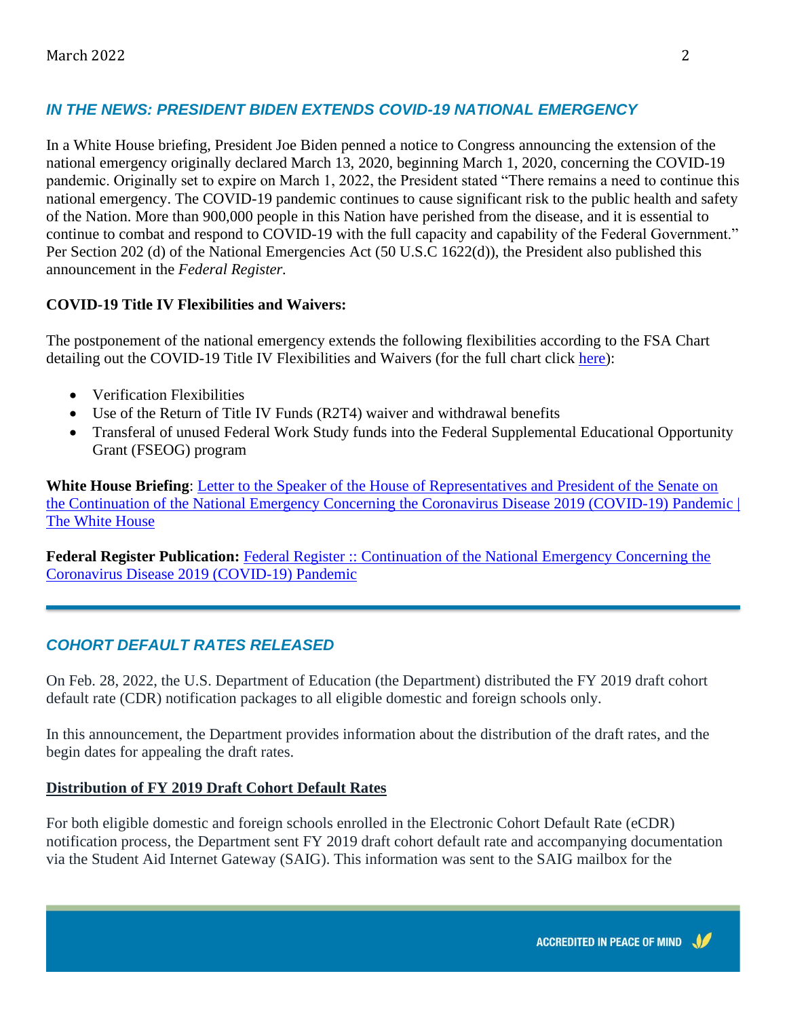## *IN THE NEWS: PRESIDENT BIDEN EXTENDS COVID-19 NATIONAL EMERGENCY*

In a White House briefing, President Joe Biden penned a notice to Congress announcing the extension of the national emergency originally declared March 13, 2020, beginning March 1, 2020, concerning the COVID-19 pandemic. Originally set to expire on March 1, 2022, the President stated "There remains a need to continue this national emergency. The COVID-19 pandemic continues to cause significant risk to the public health and safety of the Nation. More than 900,000 people in this Nation have perished from the disease, and it is essential to continue to combat and respond to COVID-19 with the full capacity and capability of the Federal Government." Per Section 202 (d) of the National Emergencies Act (50 U.S.C 1622(d)), the President also published this announcement in the *Federal Register.* 

#### **COVID-19 Title IV Flexibilities and Waivers:**

The postponement of the national emergency extends the following flexibilities according to the FSA Chart detailing out the COVID-19 Title IV Flexibilities and Waivers (for the full chart click [here\)](https://fsapartners.ed.gov/sites/default/files/attachments/2021-01/011521COVIDReliefTitleIVFlexibilitiesWaivers.pdf):

- Verification Flexibilities
- Use of the Return of Title IV Funds (R2T4) waiver and withdrawal benefits
- Transferal of unused Federal Work Study funds into the Federal Supplemental Educational Opportunity Grant (FSEOG) program

**White House Briefing**: [Letter to the Speaker of the House of Representatives and President of the Senate on](https://www.whitehouse.gov/briefing-room/statements-releases/2022/02/18/letter-to-the-speaker-of-the-house-of-representatives-and-president-of-the-senate-on-the-continuation-of-the-national-emergency-concerning-the-coronavirus-disease-2019-covid-19-pandemic/)  [the Continuation of the National Emergency Concerning the Coronavirus Disease 2019 \(COVID-19\) Pandemic |](https://www.whitehouse.gov/briefing-room/statements-releases/2022/02/18/letter-to-the-speaker-of-the-house-of-representatives-and-president-of-the-senate-on-the-continuation-of-the-national-emergency-concerning-the-coronavirus-disease-2019-covid-19-pandemic/)  [The White House](https://www.whitehouse.gov/briefing-room/statements-releases/2022/02/18/letter-to-the-speaker-of-the-house-of-representatives-and-president-of-the-senate-on-the-continuation-of-the-national-emergency-concerning-the-coronavirus-disease-2019-covid-19-pandemic/)

**Federal Register Publication:** [Federal Register :: Continuation of the National Emergency Concerning the](https://www.federalregister.gov/documents/2022/02/23/2022-03972/continuation-of-the-national-emergency-concerning-the-coronavirus-disease-2019-covid-19-pandemic)  [Coronavirus Disease 2019 \(COVID-19\) Pandemic](https://www.federalregister.gov/documents/2022/02/23/2022-03972/continuation-of-the-national-emergency-concerning-the-coronavirus-disease-2019-covid-19-pandemic)

## *COHORT DEFAULT RATES RELEASED*

On Feb. 28, 2022, the U.S. Department of Education (the Department) distributed the FY 2019 draft cohort default rate (CDR) notification packages to all eligible domestic and foreign schools only.

In this announcement, the Department provides information about the distribution of the draft rates, and the begin dates for appealing the draft rates.

## **Distribution of FY 2019 Draft Cohort Default Rates**

For both eligible domestic and foreign schools enrolled in the Electronic Cohort Default Rate (eCDR) notification process, the Department sent FY 2019 draft cohort default rate and accompanying documentation via the Student Aid Internet Gateway (SAIG). This information was sent to the SAIG mailbox for the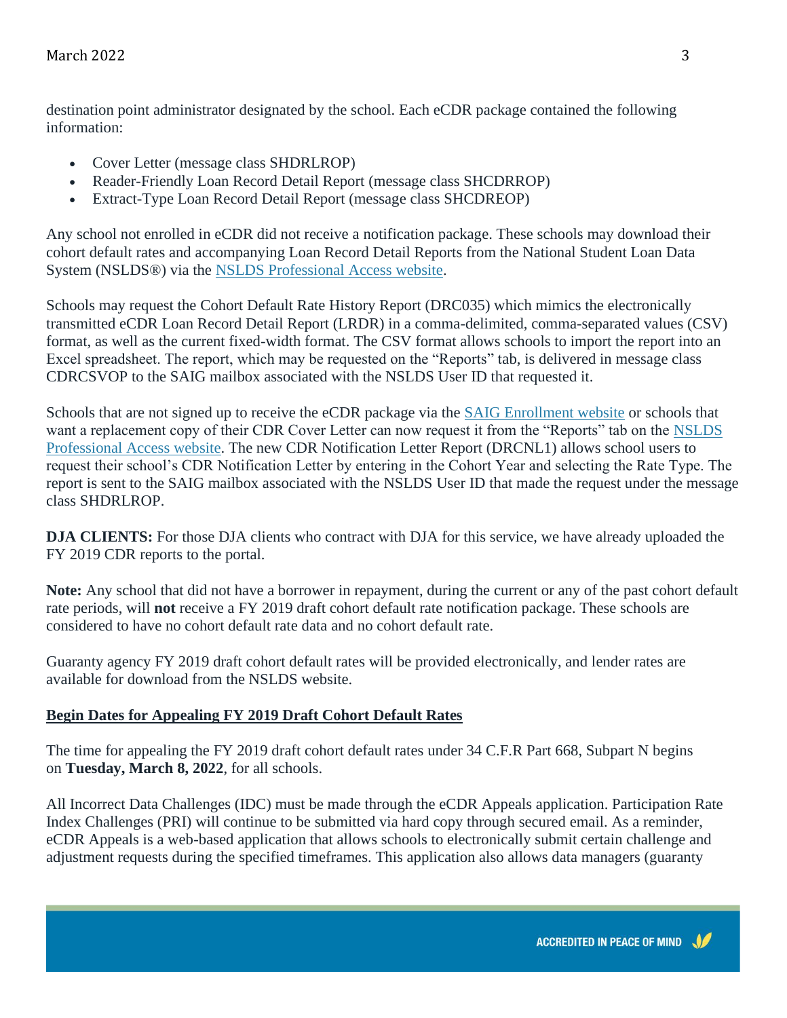destination point administrator designated by the school. Each eCDR package contained the following information:

- Cover Letter (message class SHDRLROP)
- Reader-Friendly Loan Record Detail Report (message class SHCDRROP)
- Extract-Type Loan Record Detail Report (message class SHCDREOP)

Any school not enrolled in eCDR did not receive a notification package. These schools may download their cohort default rates and accompanying Loan Record Detail Reports from the National Student Loan Data System (NSLDS®) via the [NSLDS Professional Access website.](https://nsldsfap.ed.gov/nslds_FAP/default.jsp)

Schools may request the Cohort Default Rate History Report (DRC035) which mimics the electronically transmitted eCDR Loan Record Detail Report (LRDR) in a comma-delimited, comma-separated values (CSV) format, as well as the current fixed-width format. The CSV format allows schools to import the report into an Excel spreadsheet. The report, which may be requested on the "Reports" tab, is delivered in message class CDRCSVOP to the SAIG mailbox associated with the NSLDS User ID that requested it.

Schools that are not signed up to receive the eCDR package via the [SAIG Enrollment website](https://fsawebenroll.ed.gov/PMEnroll/index.jsp) or schools that want a replacement copy of their CDR Cover Letter can now request it from the "Reports" tab on the [NSLDS](https://nsldsfap.ed.gov/nslds_FAP/default.jsp)  [Professional Access website.](https://nsldsfap.ed.gov/nslds_FAP/default.jsp) The new CDR Notification Letter Report (DRCNL1) allows school users to request their school's CDR Notification Letter by entering in the Cohort Year and selecting the Rate Type. The report is sent to the SAIG mailbox associated with the NSLDS User ID that made the request under the message class SHDRLROP.

**DJA CLIENTS:** For those DJA clients who contract with DJA for this service, we have already uploaded the FY 2019 CDR reports to the portal.

**Note:** Any school that did not have a borrower in repayment, during the current or any of the past cohort default rate periods, will **not** receive a FY 2019 draft cohort default rate notification package. These schools are considered to have no cohort default rate data and no cohort default rate.

Guaranty agency FY 2019 draft cohort default rates will be provided electronically, and lender rates are available for download from the NSLDS website.

#### **Begin Dates for Appealing FY 2019 Draft Cohort Default Rates**

The time for appealing the FY 2019 draft cohort default rates under 34 C.F.R Part 668, Subpart N begins on **Tuesday, March 8, 2022**, for all schools.

All Incorrect Data Challenges (IDC) must be made through the eCDR Appeals application. Participation Rate Index Challenges (PRI) will continue to be submitted via hard copy through secured email. As a reminder, eCDR Appeals is a web-based application that allows schools to electronically submit certain challenge and adjustment requests during the specified timeframes. This application also allows data managers (guaranty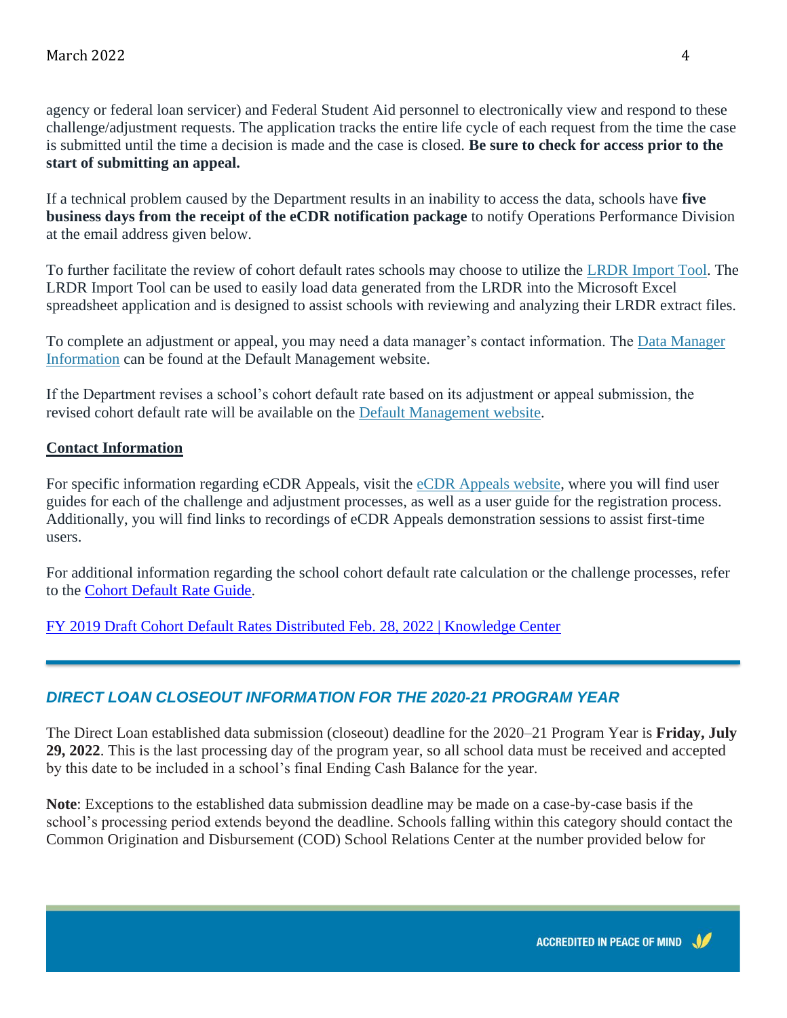agency or federal loan servicer) and Federal Student Aid personnel to electronically view and respond to these challenge/adjustment requests. The application tracks the entire life cycle of each request from the time the case is submitted until the time a decision is made and the case is closed. **Be sure to check for access prior to the start of submitting an appeal.**

If a technical problem caused by the Department results in an inability to access the data, schools have **five business days from the receipt of the eCDR notification package** to notify Operations Performance Division at the email address given below.

To further facilitate the review of cohort default rates schools may choose to utilize the [LRDR Import Tool.](https://fsapartners.ed.gov/sites/default/files/attachments/2019-06/LoanRecordDetailReportLRDRImportTool.xlsx) The LRDR Import Tool can be used to easily load data generated from the LRDR into the Microsoft Excel spreadsheet application and is designed to assist schools with reviewing and analyzing their LRDR extract files.

To complete an adjustment or appeal, you may need a data manager's contact information. The [Data Manager](https://fsapartners.ed.gov/knowledge-center/topics/default-management/alphabetical-and-numerical-data-manager-contacts)  [Information](https://fsapartners.ed.gov/knowledge-center/topics/default-management/alphabetical-and-numerical-data-manager-contacts) can be found at the Default Management website.

If the Department revises a school's cohort default rate based on its adjustment or appeal submission, the revised cohort default rate will be available on the [Default Management website.](https://fsapartners.ed.gov/knowledge-center/topics/default-management)

#### **Contact Information**

For specific information regarding eCDR Appeals, visit the [eCDR Appeals website,](https://ecdrappeals.ed.gov/ecdra/index.html) where you will find user guides for each of the challenge and adjustment processes, as well as a user guide for the registration process. Additionally, you will find links to recordings of eCDR Appeals demonstration sessions to assist first-time users.

For additional information regarding the school cohort default rate calculation or the challenge processes, refer to the [Cohort Default Rate Guide.](https://fsapartners.ed.gov/knowledge-center/topics/default-management/cohort-default-rate-guide)

[FY 2019 Draft Cohort Default Rates Distributed Feb. 28, 2022 | Knowledge Center](https://fsapartners.ed.gov/knowledge-center/library/electronic-announcements/2022-02-28/fy-2019-draft-cohort-default-rates-distributed-feb-28-2022)

## *DIRECT LOAN CLOSEOUT INFORMATION FOR THE 2020-21 PROGRAM YEAR*

The Direct Loan established data submission (closeout) deadline for the 2020–21 Program Year is **Friday, July 29, 2022**. This is the last processing day of the program year, so all school data must be received and accepted by this date to be included in a school's final Ending Cash Balance for the year.

**Note**: Exceptions to the established data submission deadline may be made on a case-by-case basis if the school's processing period extends beyond the deadline. Schools falling within this category should contact the Common Origination and Disbursement (COD) School Relations Center at the number provided below for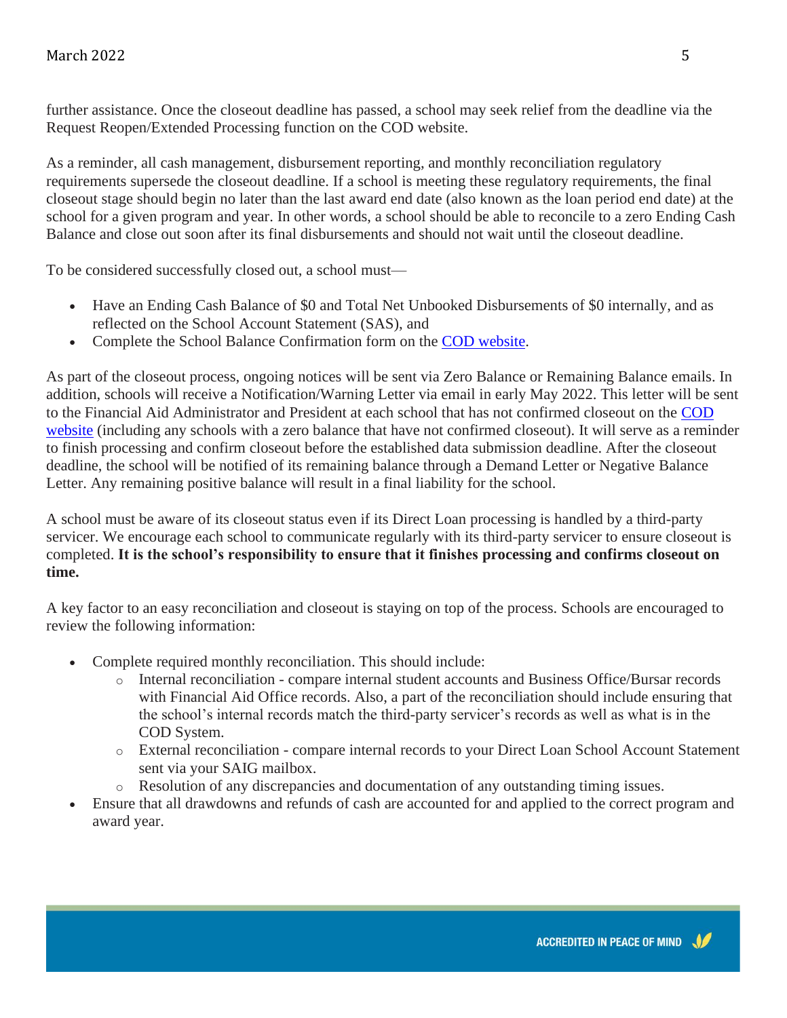further assistance. Once the closeout deadline has passed, a school may seek relief from the deadline via the Request Reopen/Extended Processing function on the COD website.

As a reminder, all cash management, disbursement reporting, and monthly reconciliation regulatory requirements supersede the closeout deadline. If a school is meeting these regulatory requirements, the final closeout stage should begin no later than the last award end date (also known as the loan period end date) at the school for a given program and year. In other words, a school should be able to reconcile to a zero Ending Cash Balance and close out soon after its final disbursements and should not wait until the closeout deadline.

To be considered successfully closed out, a school must—

- Have an Ending Cash Balance of \$0 and Total Net Unbooked Disbursements of \$0 internally, and as reflected on the School Account Statement (SAS), and
- Complete the School Balance Confirmation form on the [COD website.](https://cod.ed.gov/)

As part of the closeout process, ongoing notices will be sent via Zero Balance or Remaining Balance emails. In addition, schools will receive a Notification/Warning Letter via email in early May 2022. This letter will be sent to the Financial Aid Administrator and President at each school that has not confirmed closeout on the [COD](https://cod.ed.gov/)  [website](https://cod.ed.gov/) (including any schools with a zero balance that have not confirmed closeout). It will serve as a reminder to finish processing and confirm closeout before the established data submission deadline. After the closeout deadline, the school will be notified of its remaining balance through a Demand Letter or Negative Balance Letter. Any remaining positive balance will result in a final liability for the school.

A school must be aware of its closeout status even if its Direct Loan processing is handled by a third-party servicer. We encourage each school to communicate regularly with its third-party servicer to ensure closeout is completed. **It is the school's responsibility to ensure that it finishes processing and confirms closeout on time.**

A key factor to an easy reconciliation and closeout is staying on top of the process. Schools are encouraged to review the following information:

- Complete required monthly reconciliation. This should include:
	- o Internal reconciliation compare internal student accounts and Business Office/Bursar records with Financial Aid Office records. Also, a part of the reconciliation should include ensuring that the school's internal records match the third-party servicer's records as well as what is in the COD System.
	- o External reconciliation compare internal records to your Direct Loan School Account Statement sent via your SAIG mailbox.
	- o Resolution of any discrepancies and documentation of any outstanding timing issues.
- Ensure that all drawdowns and refunds of cash are accounted for and applied to the correct program and award year.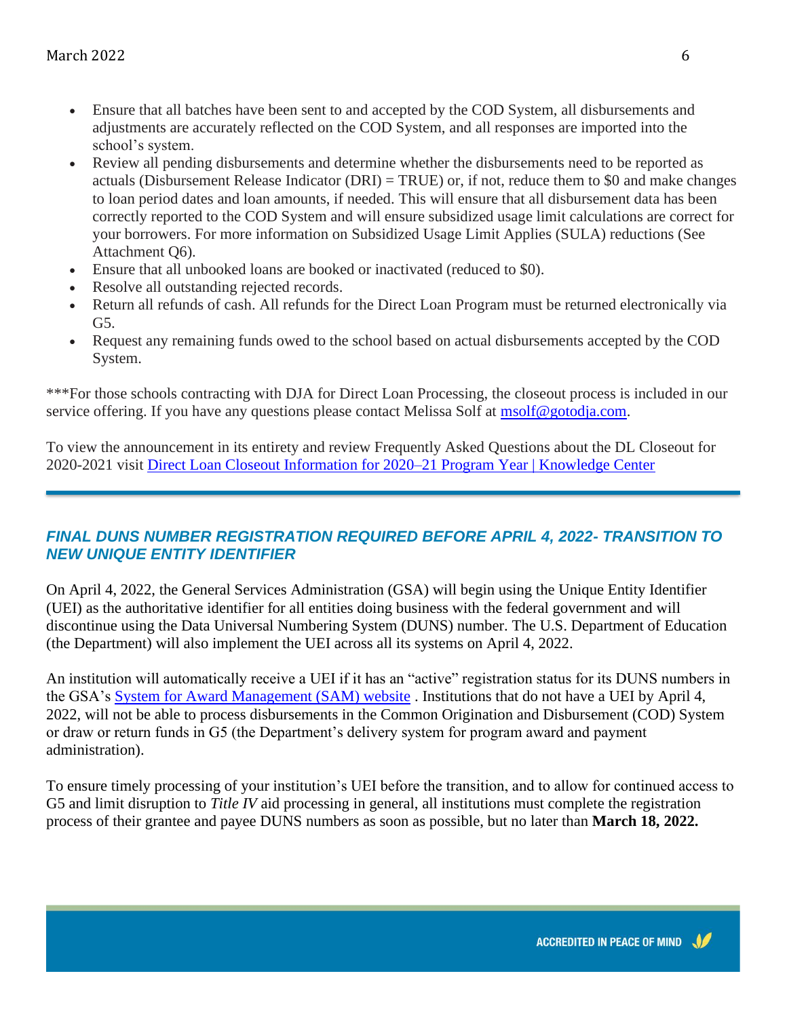- Ensure that all batches have been sent to and accepted by the COD System, all disbursements and adjustments are accurately reflected on the COD System, and all responses are imported into the school's system.
- Review all pending disbursements and determine whether the disbursements need to be reported as actuals (Disbursement Release Indicator (DRI) = TRUE) or, if not, reduce them to \$0 and make changes to loan period dates and loan amounts, if needed. This will ensure that all disbursement data has been correctly reported to the COD System and will ensure subsidized usage limit calculations are correct for your borrowers. For more information on Subsidized Usage Limit Applies (SULA) reductions (See Attachment Q6).
- Ensure that all unbooked loans are booked or inactivated (reduced to \$0).
- Resolve all outstanding rejected records.
- Return all refunds of cash. All refunds for the Direct Loan Program must be returned electronically via G5.
- Request any remaining funds owed to the school based on actual disbursements accepted by the COD System.

\*\*\*For those schools contracting with DJA for Direct Loan Processing, the closeout process is included in our service offering. If you have any questions please contact Melissa Solf at [msolf@gotodja.com.](mailto:msolf@gotodja.com)

To view the announcement in its entirety and review Frequently Asked Questions about the DL Closeout for 2020-2021 visit [Direct Loan Closeout Information for 2020–21 Program Year | Knowledge Center](https://fsapartners.ed.gov/knowledge-center/library/electronic-announcements/2022-02-16/direct-loan-closeout-information-2020-21-program-year)

## *FINAL DUNS NUMBER REGISTRATION REQUIRED BEFORE APRIL 4, 2022- TRANSITION TO NEW UNIQUE ENTITY IDENTIFIER*

On April 4, 2022, the General Services Administration (GSA) will begin using the Unique Entity Identifier (UEI) as the authoritative identifier for all entities doing business with the federal government and will discontinue using the Data Universal Numbering System (DUNS) number. The U.S. Department of Education (the Department) will also implement the UEI across all its systems on April 4, 2022.

An institution will automatically receive a UEI if it has an "active" registration status for its DUNS numbers in the GSA's [System for Award Management \(SAM\) website](https://www.sam.gov/) . Institutions that do not have a UEI by April 4, 2022, will not be able to process disbursements in the Common Origination and Disbursement (COD) System or draw or return funds in G5 (the Department's delivery system for program award and payment administration).

To ensure timely processing of your institution's UEI before the transition, and to allow for continued access to G5 and limit disruption to *Title IV* aid processing in general, all institutions must complete the registration process of their grantee and payee DUNS numbers as soon as possible, but no later than **March 18, 2022.**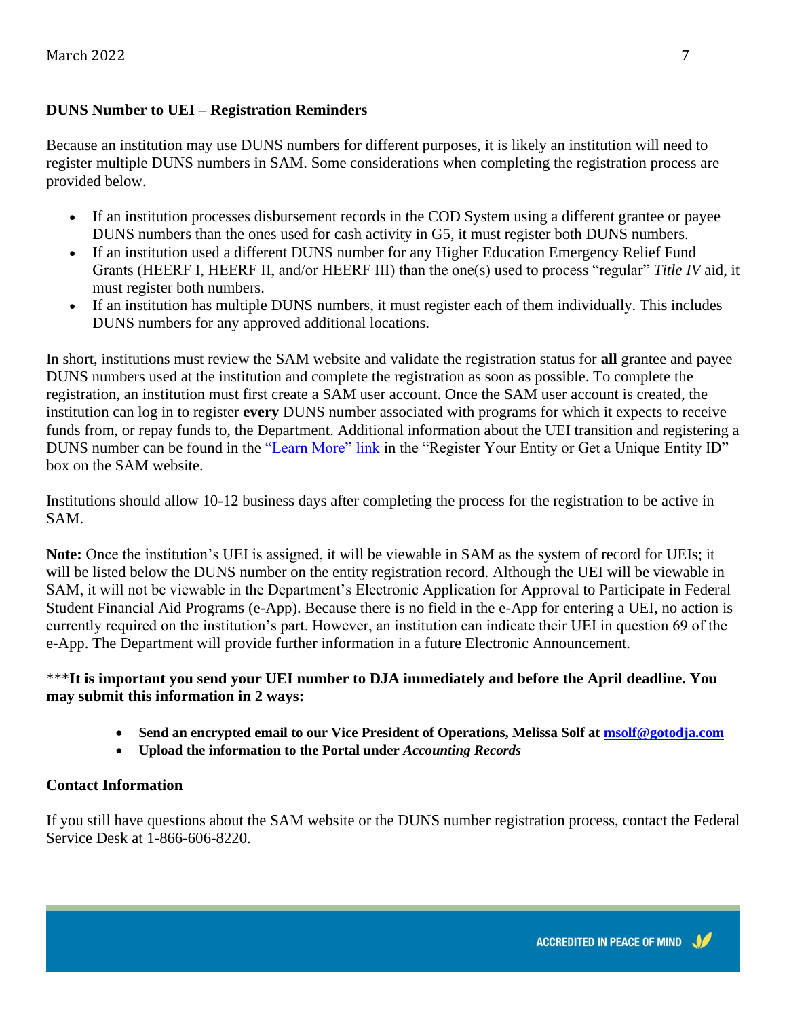#### **DUNS Number to UEI – Registration Reminders**

Because an institution may use DUNS numbers for different purposes, it is likely an institution will need to register multiple DUNS numbers in SAM. Some considerations when completing the registration process are provided below.

- If an institution processes disbursement records in the COD System using a different grantee or payee DUNS numbers than the ones used for cash activity in G5, it must register both DUNS numbers.
- If an institution used a different DUNS number for any Higher Education Emergency Relief Fund Grants (HEERF I, HEERF II, and/or HEERF III) than the one(s) used to process "regular" *Title IV* aid, it must register both numbers.
- If an institution has multiple DUNS numbers, it must register each of them individually. This includes DUNS numbers for any approved additional locations.

In short, institutions must review the SAM website and validate the registration status for **all** grantee and payee DUNS numbers used at the institution and complete the registration as soon as possible. To complete the registration, an institution must first create a SAM user account. Once the SAM user account is created, the institution can log in to register **every** DUNS number associated with programs for which it expects to receive funds from, or repay funds to, the Department. Additional information about the UEI transition and registering a DUNS number can be found in the ["Learn More" link](https://sam.gov/content/duns-uei) in the "Register Your Entity or Get a Unique Entity ID" box on the SAM website.

Institutions should allow 10-12 business days after completing the process for the registration to be active in SAM.

**Note:** Once the institution's UEI is assigned, it will be viewable in SAM as the system of record for UEIs; it will be listed below the DUNS number on the entity registration record. Although the UEI will be viewable in SAM, it will not be viewable in the Department's Electronic Application for Approval to Participate in Federal Student Financial Aid Programs (e-App). Because there is no field in the e-App for entering a UEI, no action is currently required on the institution's part. However, an institution can indicate their UEI in question 69 of the e-App. The Department will provide further information in a future Electronic Announcement.

#### \*\*\***It is important you send your UEI number to DJA immediately and before the April deadline. You may submit this information in 2 ways:**

- **Send an encrypted email to our Vice President of Operations, Melissa Solf a[t msolf@gotodja.com](mailto:msolf@gotodja.com)**
- **Upload the information to the Portal under** *Accounting Records*

#### **Contact Information**

If you still have questions about the SAM website or the DUNS number registration process, contact the Federal Service Desk at 1-866-606-8220.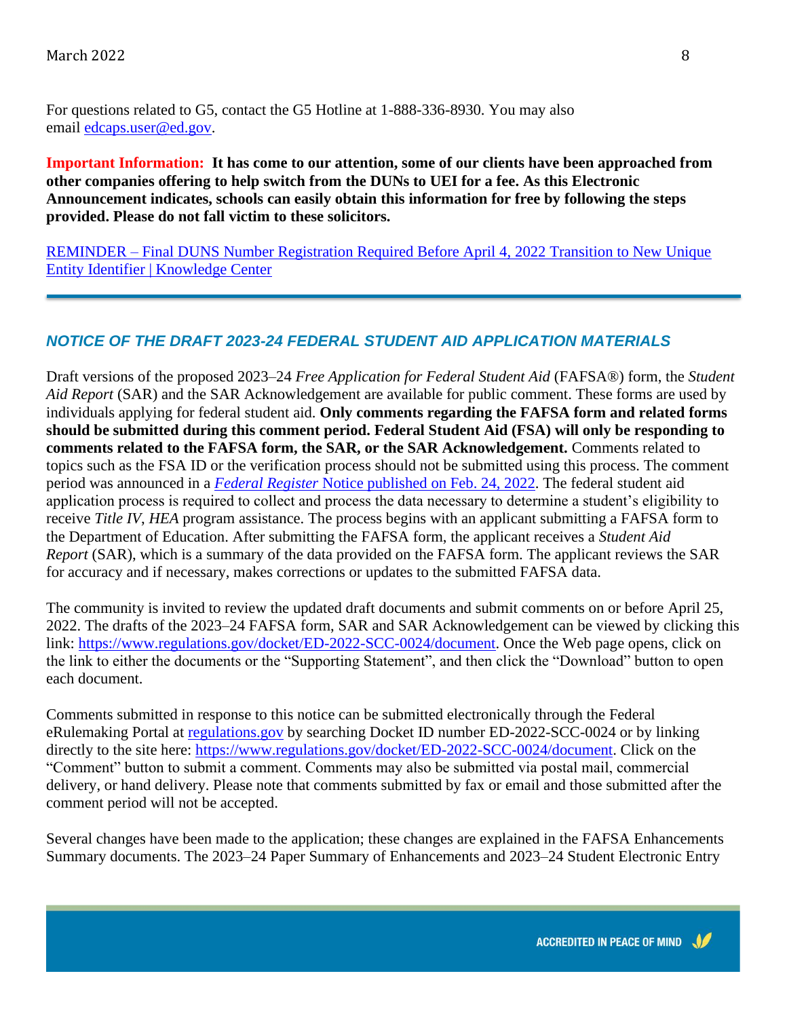For questions related to G5, contact the G5 Hotline at 1-888-336-8930. You may also email [edcaps.user@ed.gov.](mailto:edcaps.user@ed.gov)

**Important Information: It has come to our attention, some of our clients have been approached from other companies offering to help switch from the DUNs to UEI for a fee. As this Electronic Announcement indicates, schools can easily obtain this information for free by following the steps provided. Please do not fall victim to these solicitors.** 

REMINDER – [Final DUNS Number Registration Required Before April 4, 2022 Transition to New Unique](https://fsapartners.ed.gov/knowledge-center/library/electronic-announcements/2022-02-28/reminder-final-duns-number-registration-required-april-4-2022-transition-new-unique-entity-identifier)  [Entity Identifier | Knowledge Center](https://fsapartners.ed.gov/knowledge-center/library/electronic-announcements/2022-02-28/reminder-final-duns-number-registration-required-april-4-2022-transition-new-unique-entity-identifier)

#### *NOTICE OF THE DRAFT 2023-24 FEDERAL STUDENT AID APPLICATION MATERIALS*

Draft versions of the proposed 2023–24 *Free Application for Federal Student Aid* (FAFSA®) form, the *Student Aid Report* (SAR) and the SAR Acknowledgement are available for public comment. These forms are used by individuals applying for federal student aid. **Only comments regarding the FAFSA form and related forms should be submitted during this comment period. Federal Student Aid (FSA) will only be responding to comments related to the FAFSA form, the SAR, or the SAR Acknowledgement.** Comments related to topics such as the FSA ID or the verification process should not be submitted using this process. The comment period was announced in a *Federal Register* [Notice published on Feb. 24, 2022.](https://fsapartners.ed.gov/knowledge-center/library/federal-registers/2022-02-24/request-comment-2023-2024-free-application-federal-student-aid-fafsa-form) The federal student aid application process is required to collect and process the data necessary to determine a student's eligibility to receive *Title IV*, *HEA* program assistance. The process begins with an applicant submitting a FAFSA form to the Department of Education. After submitting the FAFSA form, the applicant receives a *Student Aid Report* (SAR), which is a summary of the data provided on the FAFSA form. The applicant reviews the SAR for accuracy and if necessary, makes corrections or updates to the submitted FAFSA data.

The community is invited to review the updated draft documents and submit comments on or before April 25, 2022. The drafts of the 2023–24 FAFSA form, SAR and SAR Acknowledgement can be viewed by clicking this link: [https://www.regulations.gov/docket/ED-2022-SCC-0024/document.](https://www.regulations.gov/docket/ED-2022-SCC-0024/document) Once the Web page opens, click on the link to either the documents or the "Supporting Statement", and then click the "Download" button to open each document.

Comments submitted in response to this notice can be submitted electronically through the Federal eRulemaking Portal at [regulations.gov](https://www.regulations.gov/) by searching Docket ID number ED-2022-SCC-0024 or by linking directly to the site here: [https://www.regulations.gov/docket/ED-2022-SCC-0024/document.](https://www.regulations.gov/docket/ED-2022-SCC-0024/document) Click on the "Comment" button to submit a comment. Comments may also be submitted via postal mail, commercial delivery, or hand delivery. Please note that comments submitted by fax or email and those submitted after the comment period will not be accepted.

Several changes have been made to the application; these changes are explained in the FAFSA Enhancements Summary documents. The 2023–24 Paper Summary of Enhancements and 2023–24 Student Electronic Entry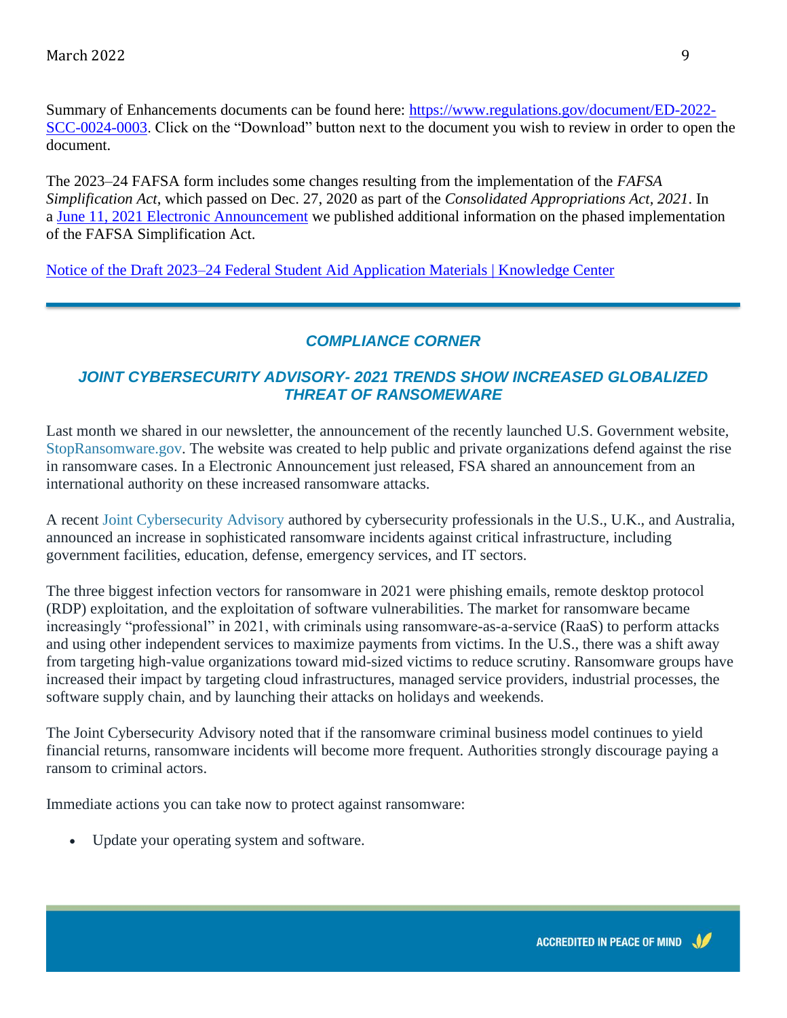Summary of Enhancements documents can be found here: [https://www.regulations.gov/document/ED-2022-](https://www.regulations.gov/document/ED-2022-SCC-0024-0003) [SCC-0024-0003.](https://www.regulations.gov/document/ED-2022-SCC-0024-0003) Click on the "Download" button next to the document you wish to review in order to open the document.

The 2023–24 FAFSA form includes some changes resulting from the implementation of the *FAFSA Simplification Act*, which passed on Dec. 27, 2020 as part of the *Consolidated Appropriations Act, 2021*. In a [June 11, 2021 Electronic Announcement](https://fsapartners.ed.gov/knowledge-center/library/electronic-announcements/2021-06-11/beginning-phased-implementation-fafsa-simplification-act-ea-id-general-21-39) we published additional information on the phased implementation of the FAFSA Simplification Act.

[Notice of the Draft 2023–24 Federal Student Aid Application Materials | Knowledge Center](https://fsapartners.ed.gov/knowledge-center/library/electronic-announcements/2022-02-24/notice-draft-2023-24-federal-student-aid-application-materials)

## *COMPLIANCE CORNER*

#### *JOINT CYBERSECURITY ADVISORY- 2021 TRENDS SHOW INCREASED GLOBALIZED THREAT OF RANSOMEWARE*

Last month we shared in our newsletter, the announcement of the recently launched U.S. Government website, [StopRansomware.gov.](https://www.cisa.gov/stopransomware) The website was created to help public and private organizations defend against the rise in ransomware cases. In a Electronic Announcement just released, FSA shared an announcement from an international authority on these increased ransomware attacks.

A recent [Joint Cybersecurity Advisory](https://www.nsa.gov/Press-Room/News-Highlights/Article/Article/2928709/cisa-fbi-nsa-and-international-partners-issue-advisory-on-ransomware-trends-fro/) authored by cybersecurity professionals in the U.S., U.K., and Australia, announced an increase in sophisticated ransomware incidents against critical infrastructure, including government facilities, education, defense, emergency services, and IT sectors.

The three biggest infection vectors for ransomware in 2021 were phishing emails, remote desktop protocol (RDP) exploitation, and the exploitation of software vulnerabilities. The market for ransomware became increasingly "professional" in 2021, with criminals using ransomware-as-a-service (RaaS) to perform attacks and using other independent services to maximize payments from victims. In the U.S., there was a shift away from targeting high-value organizations toward mid-sized victims to reduce scrutiny. Ransomware groups have increased their impact by targeting cloud infrastructures, managed service providers, industrial processes, the software supply chain, and by launching their attacks on holidays and weekends.

The Joint Cybersecurity Advisory noted that if the ransomware criminal business model continues to yield financial returns, ransomware incidents will become more frequent. Authorities strongly discourage paying a ransom to criminal actors.

Immediate actions you can take now to protect against ransomware:

• Update your operating system and software.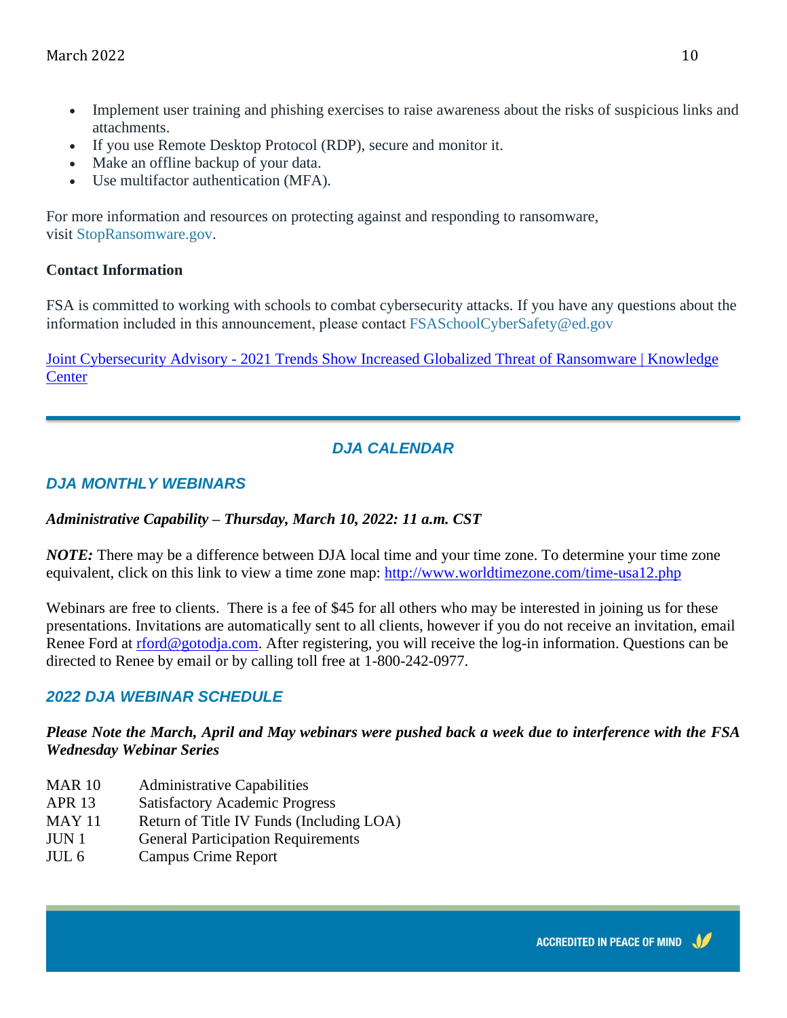- Implement user training and phishing exercises to raise awareness about the risks of suspicious links and attachments.
- If you use Remote Desktop Protocol (RDP), secure and monitor it.
- Make an offline backup of your data.
- Use multifactor authentication (MFA).

For more information and resources on protecting against and responding to ransomware, visit [StopRansomware.gov.](https://www.cisa.gov/stopransomware)

#### **Contact Information**

FSA is committed to working with schools to combat cybersecurity attacks. If you have any questions about the information included in this announcement, please contac[t FSASchoolCyberSafety@ed.gov](mailto:FSASchoolCyberSafety@ed.gov)

Joint Cybersecurity Advisory - [2021 Trends Show Increased Globalized Threat of Ransomware | Knowledge](https://fsapartners.ed.gov/knowledge-center/library/electronic-announcements/2022-03-01/joint-cybersecurity-advisory-2021-trends-show-increased-globalized-threat-ransomware)  **[Center](https://fsapartners.ed.gov/knowledge-center/library/electronic-announcements/2022-03-01/joint-cybersecurity-advisory-2021-trends-show-increased-globalized-threat-ransomware)** 

## *DJA CALENDAR*

## *DJA MONTHLY WEBINARS*

## *Administrative Capability – Thursday, March 10, 2022: 11 a.m. CST*

*NOTE:* There may be a difference between DJA local time and your time zone. To determine your time zone equivalent, click on this link to view a time zone map:<http://www.worldtimezone.com/time-usa12.php>

Webinars are free to clients. There is a fee of \$45 for all others who may be interested in joining us for these presentations. Invitations are automatically sent to all clients, however if you do not receive an invitation, email Renee Ford at [rford@gotodja.com.](mailto:rford@gotodja.com) After registering, you will receive the log-in information. Questions can be directed to Renee by email or by calling toll free at 1-800-242-0977.

## *2022 DJA WEBINAR SCHEDULE*

#### *Please Note the March, April and May webinars were pushed back a week due to interference with the FSA Wednesday Webinar Series*

- MAR 10 Administrative Capabilities
- APR 13 Satisfactory Academic Progress
- MAY 11 Return of Title IV Funds (Including LOA)
- JUN 1 General Participation Requirements
- JUL 6 Campus Crime Report